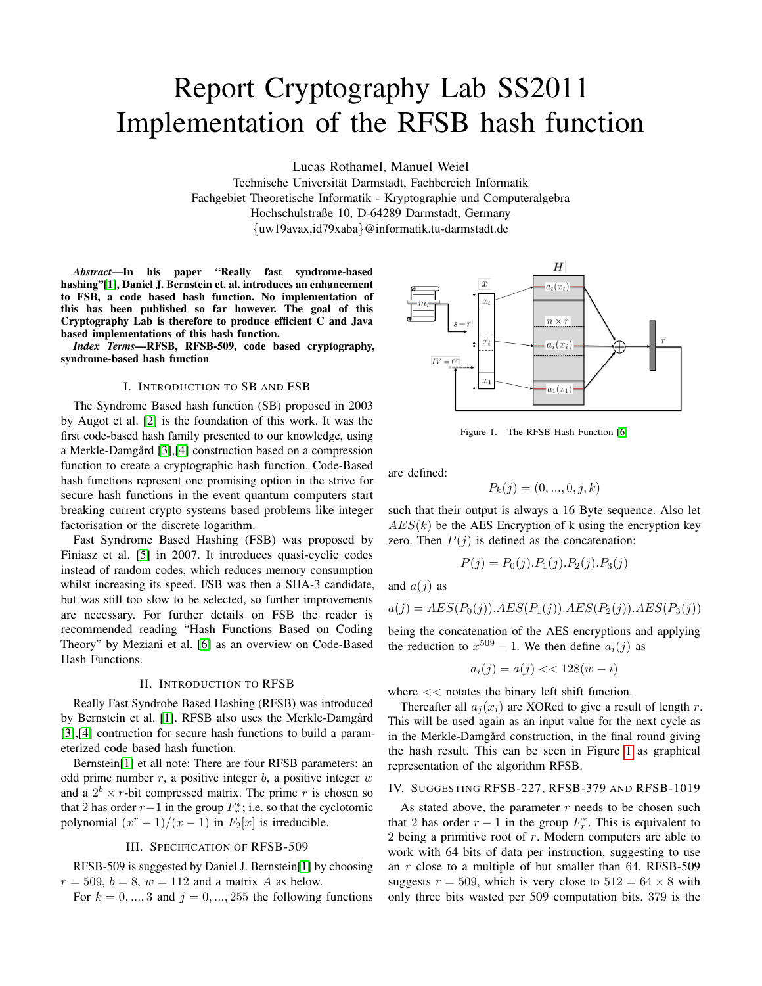# Report Cryptography Lab SS2011 Implementation of the RFSB hash function

Lucas Rothamel, Manuel Weiel

Technische Universitat Darmstadt, Fachbereich Informatik ¨ Fachgebiet Theoretische Informatik - Kryptographie und Computeralgebra Hochschulstraße 10, D-64289 Darmstadt, Germany {uw19avax,id79xaba}@informatik.tu-darmstadt.de

*Abstract*—In his paper "Really fast syndrome-based hashing"[\[1\]](#page-2-0), Daniel J. Bernstein et. al. introduces an enhancement to FSB, a code based hash function. No implementation of this has been published so far however. The goal of this Cryptography Lab is therefore to produce efficient C and Java based implementations of this hash function.

*Index Terms*—RFSB, RFSB-509, code based cryptography, syndrome-based hash function

#### I. INTRODUCTION TO SB AND FSB

The Syndrome Based hash function (SB) proposed in 2003 by Augot et al. [\[2\]](#page-2-1) is the foundation of this work. It was the first code-based hash family presented to our knowledge, using a Merkle-Damgård [[3\]](#page-2-2),[\[4\]](#page-2-3) construction based on a compression function to create a cryptographic hash function. Code-Based hash functions represent one promising option in the strive for secure hash functions in the event quantum computers start breaking current crypto systems based problems like integer factorisation or the discrete logarithm.

Fast Syndrome Based Hashing (FSB) was proposed by Finiasz et al. [\[5\]](#page-2-4) in 2007. It introduces quasi-cyclic codes instead of random codes, which reduces memory consumption whilst increasing its speed. FSB was then a SHA-3 candidate, but was still too slow to be selected, so further improvements are necessary. For further details on FSB the reader is recommended reading "Hash Functions Based on Coding Theory" by Meziani et al. [\[6\]](#page-2-5) as an overview on Code-Based Hash Functions.

### II. INTRODUCTION TO RFSB

Really Fast Syndrobe Based Hashing (RFSB) was introduced by Bernstein et al. [\[1\]](#page-2-0). RFSB also uses the Merkle-Damgård [\[3\]](#page-2-2),[\[4\]](#page-2-3) contruction for secure hash functions to build a parameterized code based hash function.

Bernstein[\[1\]](#page-2-0) et all note: There are four RFSB parameters: an odd prime number  $r$ , a positive integer  $b$ , a positive integer  $w$ and a  $2^b \times r$ -bit compressed matrix. The prime r is chosen so that 2 has order  $r-1$  in the group  $F_r^*$ ; i.e. so that the cyclotomic polynomial  $(x^{r} - 1)/(x - 1)$  in  $F_2[x]$  is irreducible.

## III. SPECIFICATION OF RFSB-509

RFSB-509 is suggested by Daniel J. Bernstein[\[1\]](#page-2-0) by choosing  $r = 509$ ,  $b = 8$ ,  $w = 112$  and a matrix A as below.

For 
$$
k = 0, \ldots, 3
$$
 and  $j = 0, \ldots, 255$  the following functions



<span id="page-0-0"></span>Figure 1. The RFSB Hash Function [\[6\]](#page-2-5)

are defined:

$$
P_k(j) = (0, ..., 0, j, k)
$$

such that their output is always a 16 Byte sequence. Also let  $AES(k)$  be the AES Encryption of k using the encryption key zero. Then  $P(j)$  is defined as the concatenation:

$$
P(j) = P_0(j).P_1(j).P_2(j).P_3(j)
$$

and  $a(j)$  as

$$
a(j) = AES(P_0(j)).AES(P_1(j)).AES(P_2(j)).AES(P_3(j))
$$

being the concatenation of the AES encryptions and applying the reduction to  $x^{509} - 1$ . We then define  $a_i(j)$  as

$$
a_i(j) = a(j) \lt \lt 128(w - i)
$$

where  $<<$  notates the binary left shift function.

Thereafter all  $a_i(x_i)$  are XORed to give a result of length r. This will be used again as an input value for the next cycle as in the Merkle-Damgård construction, in the final round giving the hash result. This can be seen in Figure [1](#page-0-0) as graphical representation of the algorithm RFSB.

### IV. SUGGESTING RFSB-227, RFSB-379 AND RFSB-1019

As stated above, the parameter  $r$  needs to be chosen such that 2 has order  $r - 1$  in the group  $F_r^*$ . This is equivalent to 2 being a primitive root of r. Modern computers are able to work with 64 bits of data per instruction, suggesting to use an r close to a multiple of but smaller than 64. RFSB-509 suggests  $r = 509$ , which is very close to  $512 = 64 \times 8$  with only three bits wasted per 509 computation bits. 379 is the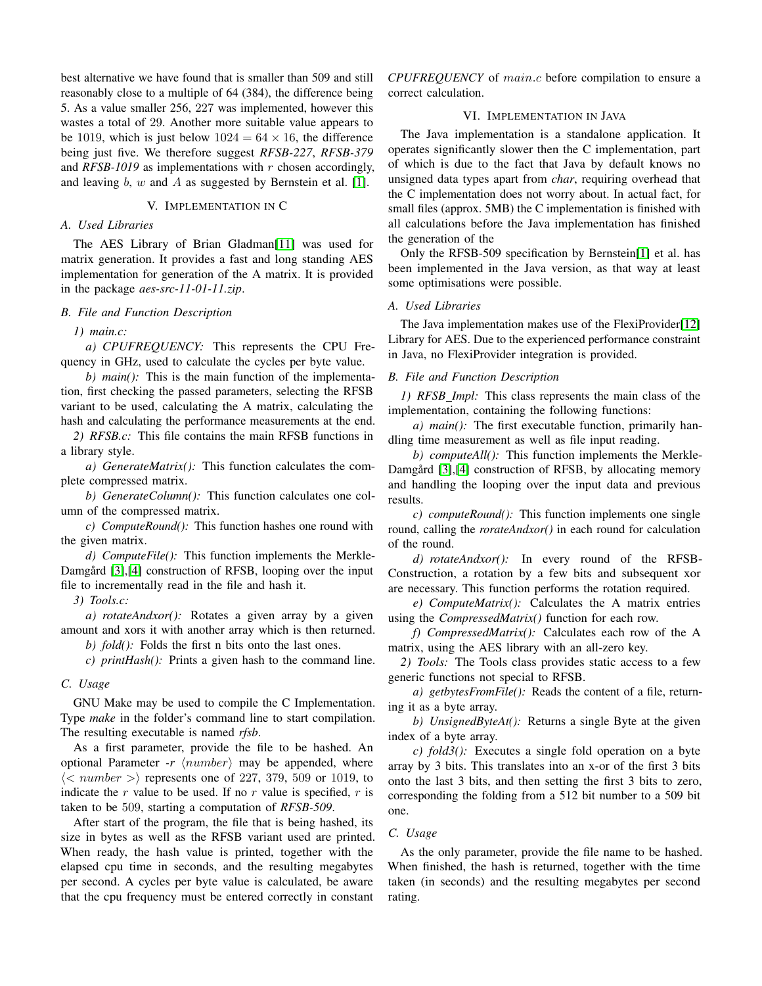best alternative we have found that is smaller than 509 and still reasonably close to a multiple of 64 (384), the difference being 5. As a value smaller 256, 227 was implemented, however this wastes a total of 29. Another more suitable value appears to be 1019, which is just below  $1024 = 64 \times 16$ , the difference being just five. We therefore suggest *RFSB-227*, *RFSB-379* and  $RFSB-1019$  as implementations with  $r$  chosen accordingly, and leaving  $b$ ,  $w$  and  $A$  as suggested by Bernstein et al. [\[1\]](#page-2-0).

## V. IMPLEMENTATION IN C

## *A. Used Libraries*

The AES Library of Brian Gladman[\[11\]](#page-3-0) was used for matrix generation. It provides a fast and long standing AES implementation for generation of the A matrix. It is provided in the package *aes-src-11-01-11.zip*.

## *B. File and Function Description*

*1) main.c:*

*a) CPUFREQUENCY:* This represents the CPU Frequency in GHz, used to calculate the cycles per byte value.

*b) main():* This is the main function of the implementation, first checking the passed parameters, selecting the RFSB variant to be used, calculating the A matrix, calculating the hash and calculating the performance measurements at the end.

*2) RFSB.c:* This file contains the main RFSB functions in a library style.

*a) GenerateMatrix():* This function calculates the complete compressed matrix.

*b) GenerateColumn():* This function calculates one column of the compressed matrix.

*c) ComputeRound():* This function hashes one round with the given matrix.

*d) ComputeFile():* This function implements the Merkle-Damgård [[3\]](#page-2-2), [\[4\]](#page-2-3) construction of RFSB, looping over the input file to incrementally read in the file and hash it.

*3) Tools.c:*

*a) rotateAndxor():* Rotates a given array by a given amount and xors it with another array which is then returned.

*b) fold():* Folds the first n bits onto the last ones.

*c) printHash():* Prints a given hash to the command line.

## *C. Usage*

GNU Make may be used to compile the C Implementation. Type *make* in the folder's command line to start compilation. The resulting executable is named *rfsb*.

As a first parameter, provide the file to be hashed. An optional Parameter *-r*  $\langle number \rangle$  may be appended, where  $\langle \langle$  number  $\rangle$  represents one of 227, 379, 509 or 1019, to indicate the r value to be used. If no r value is specified,  $r$  is taken to be 509, starting a computation of *RFSB-509*.

After start of the program, the file that is being hashed, its size in bytes as well as the RFSB variant used are printed. When ready, the hash value is printed, together with the elapsed cpu time in seconds, and the resulting megabytes per second. A cycles per byte value is calculated, be aware that the cpu frequency must be entered correctly in constant

*CPUFREQUENCY* of main.c before compilation to ensure a correct calculation.

## VI. IMPLEMENTATION IN JAVA

The Java implementation is a standalone application. It operates significantly slower then the C implementation, part of which is due to the fact that Java by default knows no unsigned data types apart from *char*, requiring overhead that the C implementation does not worry about. In actual fact, for small files (approx. 5MB) the C implementation is finished with all calculations before the Java implementation has finished the generation of the

Only the RFSB-509 specification by Bernstein[\[1\]](#page-2-0) et al. has been implemented in the Java version, as that way at least some optimisations were possible.

## *A. Used Libraries*

The Java implementation makes use of the FlexiProvider[\[12\]](#page-3-1) Library for AES. Due to the experienced performance constraint in Java, no FlexiProvider integration is provided.

## *B. File and Function Description*

*1) RFSB Impl:* This class represents the main class of the implementation, containing the following functions:

*a) main():* The first executable function, primarily handling time measurement as well as file input reading.

*b) computeAll():* This function implements the Merkle-Damgård [[3\]](#page-2-2), [\[4\]](#page-2-3) construction of RFSB, by allocating memory and handling the looping over the input data and previous results.

*c) computeRound():* This function implements one single round, calling the *rorateAndxor()* in each round for calculation of the round.

*d) rotateAndxor():* In every round of the RFSB-Construction, a rotation by a few bits and subsequent xor are necessary. This function performs the rotation required.

*e) ComputeMatrix():* Calculates the A matrix entries using the *CompressedMatrix()* function for each row.

*f) CompressedMatrix():* Calculates each row of the A matrix, using the AES library with an all-zero key.

*2) Tools:* The Tools class provides static access to a few generic functions not special to RFSB.

*a) getbytesFromFile():* Reads the content of a file, returning it as a byte array.

*b) UnsignedByteAt():* Returns a single Byte at the given index of a byte array.

*c) fold3():* Executes a single fold operation on a byte array by 3 bits. This translates into an x-or of the first 3 bits onto the last 3 bits, and then setting the first 3 bits to zero, corresponding the folding from a 512 bit number to a 509 bit one.

### *C. Usage*

As the only parameter, provide the file name to be hashed. When finished, the hash is returned, together with the time taken (in seconds) and the resulting megabytes per second rating.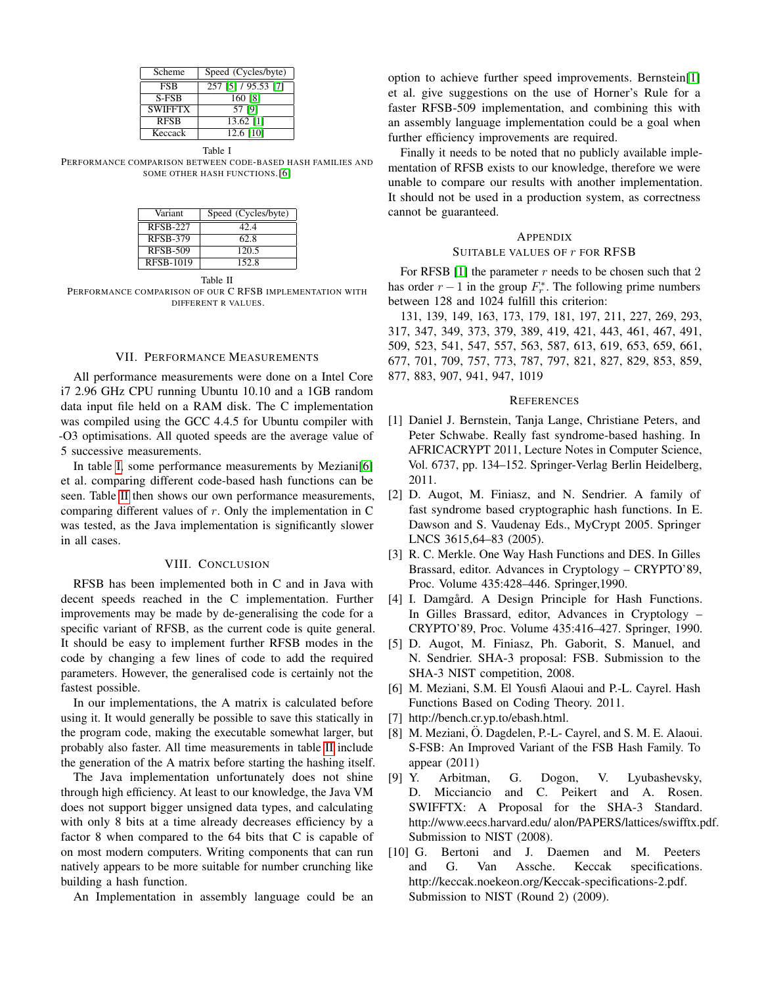| Scheme         | Speed (Cycles/byte) |
|----------------|---------------------|
| <b>FSB</b>     | 257 [5] / 95.53 [7] |
| S-FSB          | 160 [8]             |
| <b>SWIFFTX</b> | 57 [9]              |
| <b>RFSB</b>    | 13.62 [1]           |
| Keccack        | 12.6 [10]           |

Table I

<span id="page-2-10"></span>PERFORMANCE COMPARISON BETWEEN CODE-BASED HASH FAMILIES AND SOME OTHER HASH FUNCTIONS.[\[6\]](#page-2-5)

| Variant          | Speed (Cycles/byte) |
|------------------|---------------------|
| <b>RFSB-227</b>  | 42.4                |
| <b>RFSB-379</b>  | 62.8                |
| <b>RFSB-509</b>  | 120.5               |
| <b>RFSB-1019</b> | 152.8               |

Table II

<span id="page-2-11"></span>PERFORMANCE COMPARISON OF OUR C RFSB IMPLEMENTATION WITH DIFFERENT R VALUES.

### VII. PERFORMANCE MEASUREMENTS

All performance measurements were done on a Intel Core i7 2.96 GHz CPU running Ubuntu 10.10 and a 1GB random data input file held on a RAM disk. The C implementation was compiled using the GCC 4.4.5 for Ubuntu compiler with -O3 optimisations. All quoted speeds are the average value of 5 successive measurements.

In table [I,](#page-2-10) some performance measurements by Meziani[\[6\]](#page-2-5) et al. comparing different code-based hash functions can be seen. Table [II](#page-2-11) then shows our own performance measurements, comparing different values of  $r$ . Only the implementation in C was tested, as the Java implementation is significantly slower in all cases.

#### VIII. CONCLUSION

RFSB has been implemented both in C and in Java with decent speeds reached in the C implementation. Further improvements may be made by de-generalising the code for a specific variant of RFSB, as the current code is quite general. It should be easy to implement further RFSB modes in the code by changing a few lines of code to add the required parameters. However, the generalised code is certainly not the fastest possible.

In our implementations, the A matrix is calculated before using it. It would generally be possible to save this statically in the program code, making the executable somewhat larger, but probably also faster. All time measurements in table [II](#page-2-11) include the generation of the A matrix before starting the hashing itself.

The Java implementation unfortunately does not shine through high efficiency. At least to our knowledge, the Java VM does not support bigger unsigned data types, and calculating with only 8 bits at a time already decreases efficiency by a factor 8 when compared to the 64 bits that C is capable of on most modern computers. Writing components that can run natively appears to be more suitable for number crunching like building a hash function.

An Implementation in assembly language could be an

option to achieve further speed improvements. Bernstein[\[1\]](#page-2-0) et al. give suggestions on the use of Horner's Rule for a faster RFSB-509 implementation, and combining this with an assembly language implementation could be a goal when further efficiency improvements are required.

Finally it needs to be noted that no publicly available implementation of RFSB exists to our knowledge, therefore we were unable to compare our results with another implementation. It should not be used in a production system, as correctness cannot be guaranteed.

## **APPENDIX**

### SUITABLE VALUES OF  $r$  for RFSB

For RFSB [\[1\]](#page-2-0) the parameter  $r$  needs to be chosen such that 2 has order  $r - 1$  in the group  $F_r^*$ . The following prime numbers between 128 and 1024 fulfill this criterion:

131, 139, 149, 163, 173, 179, 181, 197, 211, 227, 269, 293, 317, 347, 349, 373, 379, 389, 419, 421, 443, 461, 467, 491, 509, 523, 541, 547, 557, 563, 587, 613, 619, 653, 659, 661, 677, 701, 709, 757, 773, 787, 797, 821, 827, 829, 853, 859, 877, 883, 907, 941, 947, 1019

#### **REFERENCES**

- <span id="page-2-0"></span>[1] Daniel J. Bernstein, Tanja Lange, Christiane Peters, and Peter Schwabe. Really fast syndrome-based hashing. In AFRICACRYPT 2011, Lecture Notes in Computer Science, Vol. 6737, pp. 134–152. Springer-Verlag Berlin Heidelberg, 2011.
- <span id="page-2-1"></span>[2] D. Augot, M. Finiasz, and N. Sendrier. A family of fast syndrome based cryptographic hash functions. In E. Dawson and S. Vaudenay Eds., MyCrypt 2005. Springer LNCS 3615,64–83 (2005).
- <span id="page-2-2"></span>[3] R. C. Merkle. One Way Hash Functions and DES. In Gilles Brassard, editor. Advances in Cryptology – CRYPTO'89, Proc. Volume 435:428–446. Springer,1990.
- <span id="page-2-3"></span>[4] I. Damgård. A Design Principle for Hash Functions. In Gilles Brassard, editor, Advances in Cryptology – CRYPTO'89, Proc. Volume 435:416–427. Springer, 1990.
- <span id="page-2-4"></span>[5] D. Augot, M. Finiasz, Ph. Gaborit, S. Manuel, and N. Sendrier. SHA-3 proposal: FSB. Submission to the SHA-3 NIST competition, 2008.
- <span id="page-2-5"></span>[6] M. Meziani, S.M. El Yousfi Alaoui and P.-L. Cayrel. Hash Functions Based on Coding Theory. 2011.
- <span id="page-2-6"></span>[7] http://bench.cr.yp.to/ebash.html.
- <span id="page-2-7"></span>[8] M. Meziani, Ö. Dagdelen, P.-L- Cayrel, and S. M. E. Alaoui. S-FSB: An Improved Variant of the FSB Hash Family. To appear (2011)
- <span id="page-2-8"></span>[9] Y. Arbitman, G. Dogon, V. Lyubashevsky, D. Micciancio and C. Peikert and A. Rosen. SWIFFTX: A Proposal for the SHA-3 Standard. http://www.eecs.harvard.edu/ alon/PAPERS/lattices/swifftx.pdf. Submission to NIST (2008).
- <span id="page-2-9"></span>[10] G. Bertoni and J. Daemen and M. Peeters and G. Van Assche. Keccak specifications. http://keccak.noekeon.org/Keccak-specifications-2.pdf. Submission to NIST (Round 2) (2009).